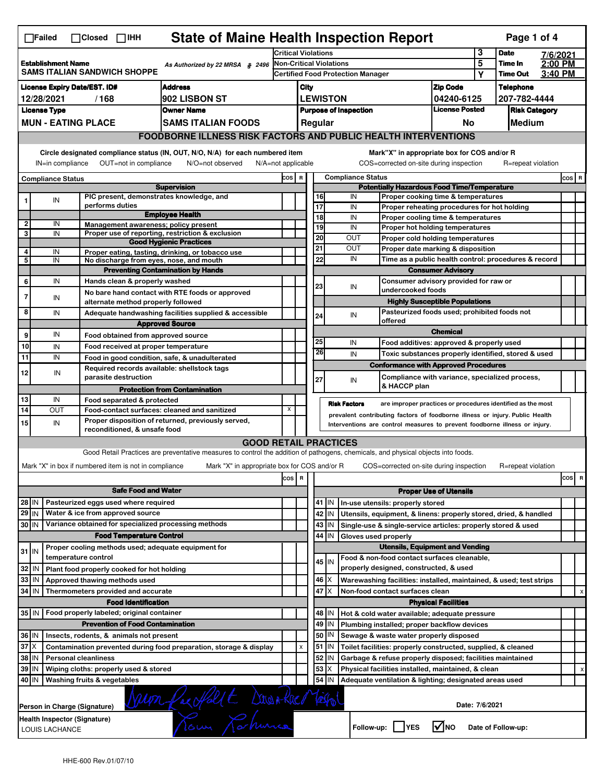| <b>State of Maine Health Inspection Report</b><br>Page 1 of 4<br>$\Box$ Failed<br>$\Box$ Closed $\Box$ IHH |                                                                                                                                                                                                                                                                                       |                                                       |                                                                                                                                   |         |                                                    |                              |                                                                             |                                                                                               |                                                |  |                      |          |          |  |  |
|------------------------------------------------------------------------------------------------------------|---------------------------------------------------------------------------------------------------------------------------------------------------------------------------------------------------------------------------------------------------------------------------------------|-------------------------------------------------------|-----------------------------------------------------------------------------------------------------------------------------------|---------|----------------------------------------------------|------------------------------|-----------------------------------------------------------------------------|-----------------------------------------------------------------------------------------------|------------------------------------------------|--|----------------------|----------|----------|--|--|
|                                                                                                            |                                                                                                                                                                                                                                                                                       |                                                       |                                                                                                                                   |         | Critical Violations                                |                              |                                                                             |                                                                                               |                                                |  | <b>Date</b>          | 7/6/2021 |          |  |  |
| <b>Establishment Name</b><br>As Authorized by 22 MRSA § 2496<br>SAMS ITALIAN SANDWICH SHOPPE               |                                                                                                                                                                                                                                                                                       |                                                       |                                                                                                                                   |         | <b>Non-Critical Violations</b>                     |                              |                                                                             |                                                                                               |                                                |  | Time In              | 2:00 PM  |          |  |  |
|                                                                                                            |                                                                                                                                                                                                                                                                                       |                                                       |                                                                                                                                   |         |                                                    |                              | <b>Certified Food Protection Manager</b>                                    |                                                                                               |                                                |  | <b>Time Out</b>      | 3:40 PM  |          |  |  |
| <b>License Expiry Date/EST. ID#</b><br><b>Address</b>                                                      |                                                                                                                                                                                                                                                                                       |                                                       |                                                                                                                                   |         |                                                    | City                         |                                                                             |                                                                                               | <b>Zip Code</b>                                |  | <b>Telephone</b>     |          |          |  |  |
| 902 LISBON ST<br>12/28/2021<br>/168                                                                        |                                                                                                                                                                                                                                                                                       |                                                       |                                                                                                                                   |         | <b>LEWISTON</b>                                    |                              |                                                                             |                                                                                               | 04240-6125                                     |  | 207-782-4444         |          |          |  |  |
|                                                                                                            | <b>License Type</b>                                                                                                                                                                                                                                                                   |                                                       | <b>Owner Name</b>                                                                                                                 |         |                                                    | <b>Purpose of Inspection</b> |                                                                             |                                                                                               | <b>License Posted</b>                          |  | <b>Risk Category</b> |          |          |  |  |
|                                                                                                            | <b>MUN - EATING PLACE</b><br><b>SAMS ITALIAN FOODS</b>                                                                                                                                                                                                                                |                                                       |                                                                                                                                   |         |                                                    | Medium<br>Regular<br>No      |                                                                             |                                                                                               |                                                |  |                      |          |          |  |  |
|                                                                                                            |                                                                                                                                                                                                                                                                                       |                                                       | <b>FOODBORNE ILLNESS RISK FACTORS AND PUBLIC HEALTH INTERVENTIONS</b>                                                             |         |                                                    |                              |                                                                             |                                                                                               |                                                |  |                      |          |          |  |  |
|                                                                                                            | Circle designated compliance status (IN, OUT, N/O, N/A) for each numbered item<br>Mark"X" in appropriate box for COS and/or R<br>IN=in compliance<br>OUT=not in compliance<br>N/O=not observed<br>N/A=not applicable<br>COS=corrected on-site during inspection<br>R=repeat violation |                                                       |                                                                                                                                   |         |                                                    |                              |                                                                             |                                                                                               |                                                |  |                      |          |          |  |  |
|                                                                                                            | <b>Compliance Status</b>                                                                                                                                                                                                                                                              |                                                       |                                                                                                                                   |         |                                                    |                              | <b>Compliance Status</b><br>COS R                                           |                                                                                               |                                                |  |                      |          |          |  |  |
| <b>Supervision</b>                                                                                         |                                                                                                                                                                                                                                                                                       |                                                       |                                                                                                                                   |         | <b>Potentially Hazardous Food Time/Temperature</b> |                              |                                                                             |                                                                                               |                                                |  |                      |          |          |  |  |
| 1                                                                                                          | IN                                                                                                                                                                                                                                                                                    |                                                       | PIC present, demonstrates knowledge, and                                                                                          |         |                                                    | 16                           |                                                                             | IN<br>Proper cooking time & temperatures                                                      |                                                |  |                      |          |          |  |  |
|                                                                                                            |                                                                                                                                                                                                                                                                                       | performs duties                                       | <b>Employee Health</b>                                                                                                            |         |                                                    | 17<br>18                     |                                                                             | IN<br>Proper reheating procedures for hot holding<br>IN<br>Proper cooling time & temperatures |                                                |  |                      |          |          |  |  |
| $\mathbf 2$                                                                                                | IN                                                                                                                                                                                                                                                                                    |                                                       | Management awareness; policy present                                                                                              |         |                                                    | 19                           |                                                                             | IN<br>Proper hot holding temperatures                                                         |                                                |  |                      |          |          |  |  |
| 3                                                                                                          | IN                                                                                                                                                                                                                                                                                    |                                                       | Proper use of reporting, restriction & exclusion                                                                                  |         |                                                    | 20                           |                                                                             | <b>OUT</b><br>Proper cold holding temperatures                                                |                                                |  |                      |          |          |  |  |
| 4                                                                                                          |                                                                                                                                                                                                                                                                                       |                                                       | <b>Good Hygienic Practices</b>                                                                                                    |         |                                                    | 21                           |                                                                             | <b>OUT</b><br>Proper date marking & disposition                                               |                                                |  |                      |          |          |  |  |
| 5                                                                                                          | IN<br>IN                                                                                                                                                                                                                                                                              |                                                       | Proper eating, tasting, drinking, or tobacco use<br>No discharge from eyes, nose, and mouth                                       |         |                                                    | 22                           |                                                                             | IN<br>Time as a public health control: procedures & record                                    |                                                |  |                      |          |          |  |  |
|                                                                                                            |                                                                                                                                                                                                                                                                                       |                                                       | <b>Preventing Contamination by Hands</b>                                                                                          |         |                                                    |                              |                                                                             | <b>Consumer Advisory</b>                                                                      |                                                |  |                      |          |          |  |  |
| 6                                                                                                          | IN                                                                                                                                                                                                                                                                                    | Hands clean & properly washed                         |                                                                                                                                   |         |                                                    |                              |                                                                             |                                                                                               | Consumer advisory provided for raw or          |  |                      |          |          |  |  |
| 7                                                                                                          |                                                                                                                                                                                                                                                                                       |                                                       | No bare hand contact with RTE foods or approved                                                                                   |         |                                                    | 23                           |                                                                             | IN<br>undercooked foods                                                                       |                                                |  |                      |          |          |  |  |
|                                                                                                            | IN                                                                                                                                                                                                                                                                                    |                                                       | alternate method properly followed                                                                                                |         |                                                    |                              |                                                                             |                                                                                               | <b>Highly Susceptible Populations</b>          |  |                      |          |          |  |  |
| 8                                                                                                          | IN                                                                                                                                                                                                                                                                                    |                                                       | Adequate handwashing facilities supplied & accessible                                                                             |         |                                                    | 24                           |                                                                             | IN                                                                                            | Pasteurized foods used; prohibited foods not   |  |                      |          |          |  |  |
|                                                                                                            |                                                                                                                                                                                                                                                                                       |                                                       | <b>Approved Source</b>                                                                                                            |         |                                                    |                              |                                                                             | offered                                                                                       | <b>Chemical</b>                                |  |                      |          |          |  |  |
| 9                                                                                                          | IN                                                                                                                                                                                                                                                                                    |                                                       | Food obtained from approved source                                                                                                |         |                                                    | 25                           |                                                                             | IN                                                                                            |                                                |  |                      |          |          |  |  |
| 10                                                                                                         | IN                                                                                                                                                                                                                                                                                    |                                                       | Food received at proper temperature                                                                                               |         |                                                    | 26                           |                                                                             |                                                                                               | Food additives: approved & properly used       |  |                      |          |          |  |  |
| 11                                                                                                         | IN                                                                                                                                                                                                                                                                                    |                                                       | Food in good condition, safe, & unadulterated                                                                                     |         |                                                    |                              |                                                                             | IN<br>Toxic substances properly identified, stored & used                                     |                                                |  |                      |          |          |  |  |
| 12                                                                                                         | IN                                                                                                                                                                                                                                                                                    |                                                       | Required records available: shellstock tags                                                                                       |         |                                                    |                              |                                                                             | <b>Conformance with Approved Procedures</b>                                                   |                                                |  |                      |          |          |  |  |
|                                                                                                            |                                                                                                                                                                                                                                                                                       | parasite destruction                                  |                                                                                                                                   |         |                                                    | 27                           |                                                                             | IN<br>& HACCP plan                                                                            | Compliance with variance, specialized process, |  |                      |          |          |  |  |
|                                                                                                            |                                                                                                                                                                                                                                                                                       |                                                       | <b>Protection from Contamination</b>                                                                                              |         |                                                    |                              |                                                                             |                                                                                               |                                                |  |                      |          |          |  |  |
| 13<br>14                                                                                                   | IN<br>OUT                                                                                                                                                                                                                                                                             | Food separated & protected                            | Food-contact surfaces: cleaned and sanitized                                                                                      | X       |                                                    |                              |                                                                             | <b>Risk Factors</b><br>are improper practices or procedures identified as the most            |                                                |  |                      |          |          |  |  |
|                                                                                                            |                                                                                                                                                                                                                                                                                       |                                                       |                                                                                                                                   |         |                                                    |                              |                                                                             | prevalent contributing factors of foodborne illness or injury. Public Health                  |                                                |  |                      |          |          |  |  |
|                                                                                                            | Proper disposition of returned, previously served,<br>15 <sup>1</sup><br>IN<br>Interventions are control measures to prevent foodborne illness or injury.<br>reconditioned, & unsafe food                                                                                             |                                                       |                                                                                                                                   |         |                                                    |                              |                                                                             |                                                                                               |                                                |  |                      |          |          |  |  |
|                                                                                                            |                                                                                                                                                                                                                                                                                       |                                                       | <b>GOOD RETAIL PRACTICES</b>                                                                                                      |         |                                                    |                              |                                                                             |                                                                                               |                                                |  |                      |          |          |  |  |
|                                                                                                            |                                                                                                                                                                                                                                                                                       |                                                       | Good Retail Practices are preventative measures to control the addition of pathogens, chemicals, and physical objects into foods. |         |                                                    |                              |                                                                             |                                                                                               |                                                |  |                      |          |          |  |  |
|                                                                                                            |                                                                                                                                                                                                                                                                                       | Mark "X" in box if numbered item is not in compliance | Mark "X" in appropriate box for COS and/or R                                                                                      |         |                                                    |                              |                                                                             | COS=corrected on-site during inspection                                                       |                                                |  | R=repeat violation   |          |          |  |  |
|                                                                                                            |                                                                                                                                                                                                                                                                                       |                                                       |                                                                                                                                   | cos   R |                                                    |                              |                                                                             |                                                                                               |                                                |  |                      |          | cos<br>R |  |  |
|                                                                                                            | <b>Safe Food and Water</b>                                                                                                                                                                                                                                                            |                                                       |                                                                                                                                   |         |                                                    |                              |                                                                             |                                                                                               |                                                |  |                      |          |          |  |  |
|                                                                                                            | Pasteurized eggs used where required<br>28 IN                                                                                                                                                                                                                                         |                                                       |                                                                                                                                   |         |                                                    |                              | <b>Proper Use of Utensils</b><br>41   IN   In-use utensils: properly stored |                                                                                               |                                                |  |                      |          |          |  |  |
| 29 IN                                                                                                      |                                                                                                                                                                                                                                                                                       | Water & ice from approved source                      |                                                                                                                                   |         |                                                    |                              | 42   IN                                                                     | Utensils, equipment, & linens: properly stored, dried, & handled                              |                                                |  |                      |          |          |  |  |
| 30 IN                                                                                                      |                                                                                                                                                                                                                                                                                       |                                                       | Variance obtained for specialized processing methods                                                                              |         |                                                    |                              | 43 IN                                                                       | Single-use & single-service articles: properly stored & used                                  |                                                |  |                      |          |          |  |  |
|                                                                                                            |                                                                                                                                                                                                                                                                                       |                                                       | <b>Food Temperature Control</b>                                                                                                   |         |                                                    | 44                           | IN                                                                          | Gloves used properly                                                                          |                                                |  |                      |          |          |  |  |
|                                                                                                            |                                                                                                                                                                                                                                                                                       |                                                       | Proper cooling methods used; adequate equipment for                                                                               |         |                                                    |                              |                                                                             | <b>Utensils, Equipment and Vending</b>                                                        |                                                |  |                      |          |          |  |  |
| $31$ IN                                                                                                    |                                                                                                                                                                                                                                                                                       | temperature control                                   |                                                                                                                                   |         |                                                    |                              |                                                                             | Food & non-food contact surfaces cleanable,                                                   |                                                |  |                      |          |          |  |  |
| 32 IN                                                                                                      |                                                                                                                                                                                                                                                                                       | Plant food properly cooked for hot holding            |                                                                                                                                   |         |                                                    |                              | 45 IN                                                                       | properly designed, constructed, & used                                                        |                                                |  |                      |          |          |  |  |
| 33   IN                                                                                                    |                                                                                                                                                                                                                                                                                       | Approved thawing methods used                         |                                                                                                                                   |         |                                                    |                              | $46 \times$                                                                 | Warewashing facilities: installed, maintained, & used; test strips                            |                                                |  |                      |          |          |  |  |
| 34 IN                                                                                                      |                                                                                                                                                                                                                                                                                       | Thermometers provided and accurate                    |                                                                                                                                   |         |                                                    | 47                           | ΙX                                                                          | Non-food contact surfaces clean                                                               |                                                |  |                      |          |          |  |  |
|                                                                                                            |                                                                                                                                                                                                                                                                                       | <b>Food Identification</b>                            |                                                                                                                                   |         |                                                    |                              |                                                                             |                                                                                               | <b>Physical Facilities</b>                     |  |                      |          | х        |  |  |
|                                                                                                            | 35 IN   Food properly labeled; original container                                                                                                                                                                                                                                     |                                                       |                                                                                                                                   |         |                                                    |                              | 48   IN                                                                     | Hot & cold water available; adequate pressure                                                 |                                                |  |                      |          |          |  |  |
| <b>Prevention of Food Contamination</b>                                                                    |                                                                                                                                                                                                                                                                                       |                                                       |                                                                                                                                   |         |                                                    |                              | 49 IN                                                                       | Plumbing installed; proper backflow devices                                                   |                                                |  |                      |          |          |  |  |
| 36 IN<br>Insects, rodents, & animals not present                                                           |                                                                                                                                                                                                                                                                                       |                                                       |                                                                                                                                   |         |                                                    | 50                           | IN                                                                          | Sewage & waste water properly disposed                                                        |                                                |  |                      |          |          |  |  |
| $37$ $\times$                                                                                              |                                                                                                                                                                                                                                                                                       |                                                       | Contamination prevented during food preparation, storage & display                                                                |         | $\pmb{\mathsf{x}}$                                 |                              | $51$ $\vert$ IN                                                             | Toilet facilities: properly constructed, supplied, & cleaned                                  |                                                |  |                      |          |          |  |  |
| 38   IN<br><b>Personal cleanliness</b>                                                                     |                                                                                                                                                                                                                                                                                       |                                                       |                                                                                                                                   |         |                                                    |                              | 52 IN                                                                       | Garbage & refuse properly disposed; facilities maintained                                     |                                                |  |                      |          |          |  |  |
| 39 IN<br>Wiping cloths: properly used & stored                                                             |                                                                                                                                                                                                                                                                                       |                                                       |                                                                                                                                   |         |                                                    | 53                           | X                                                                           | Physical facilities installed, maintained, & clean                                            |                                                |  |                      |          | х        |  |  |
| 40 IN                                                                                                      |                                                                                                                                                                                                                                                                                       | Washing fruits & vegetables                           |                                                                                                                                   |         |                                                    | 54                           | IN                                                                          | Adequate ventilation & lighting; designated areas used                                        |                                                |  |                      |          |          |  |  |
|                                                                                                            | Neum fac Holl E Donated Versol<br>Date: 7/6/2021<br>Person in Charge (Signature)                                                                                                                                                                                                      |                                                       |                                                                                                                                   |         |                                                    |                              |                                                                             |                                                                                               |                                                |  |                      |          |          |  |  |
|                                                                                                            | Health Inspector (Signature)<br>$\sqrt{ }$ NO<br>Follow-up:     YES<br>Date of Follow-up:<br>LOUIS LACHANCE                                                                                                                                                                           |                                                       |                                                                                                                                   |         |                                                    |                              |                                                                             |                                                                                               |                                                |  |                      |          |          |  |  |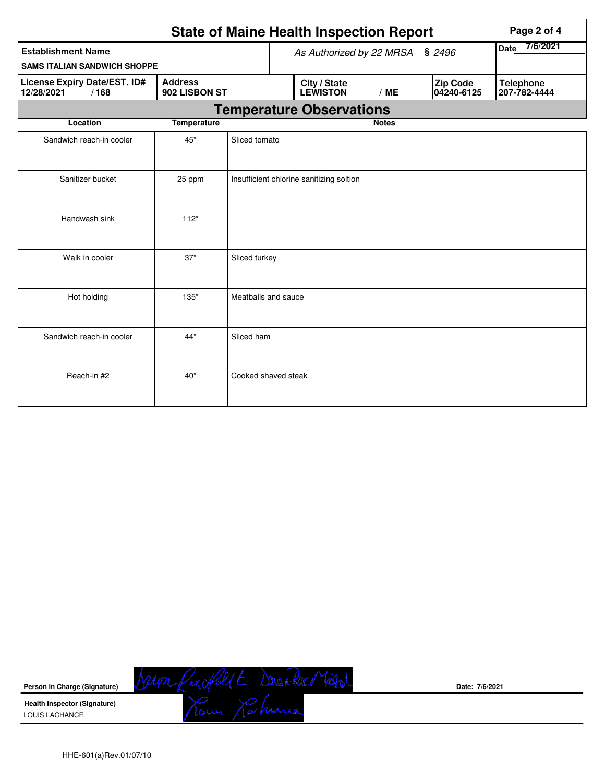|                                                                                       | Page 2 of 4        |                          |               |                                          |              |                               |                                  |  |  |  |
|---------------------------------------------------------------------------------------|--------------------|--------------------------|---------------|------------------------------------------|--------------|-------------------------------|----------------------------------|--|--|--|
| <b>Establishment Name</b><br><b>SAMS ITALIAN SANDWICH SHOPPE</b>                      |                    | As Authorized by 22 MRSA | Date 7/6/2021 |                                          |              |                               |                                  |  |  |  |
| <b>Address</b><br>License Expiry Date/EST. ID#<br>902 LISBON ST<br>12/28/2021<br>/168 |                    |                          |               | City / State<br><b>LEWISTON</b>          | /ME          | <b>Zip Code</b><br>04240-6125 | <b>Telephone</b><br>207-782-4444 |  |  |  |
| <b>Temperature Observations</b>                                                       |                    |                          |               |                                          |              |                               |                                  |  |  |  |
| Location                                                                              | <b>Temperature</b> |                          |               |                                          | <b>Notes</b> |                               |                                  |  |  |  |
| Sandwich reach-in cooler                                                              | $45*$              | Sliced tomato            |               |                                          |              |                               |                                  |  |  |  |
| Sanitizer bucket                                                                      | 25 ppm             |                          |               | Insufficient chlorine sanitizing soltion |              |                               |                                  |  |  |  |
| Handwash sink                                                                         | $112*$             |                          |               |                                          |              |                               |                                  |  |  |  |
| Walk in cooler                                                                        | $37*$              | Sliced turkey            |               |                                          |              |                               |                                  |  |  |  |
| Hot holding                                                                           | $135*$             | Meatballs and sauce      |               |                                          |              |                               |                                  |  |  |  |
| Sandwich reach-in cooler                                                              | $44*$              | Sliced ham               |               |                                          |              |                               |                                  |  |  |  |
| Reach-in #2                                                                           | $40*$              | Cooked shaved steak      |               |                                          |              |                               |                                  |  |  |  |



**Date: 7/6/2021**

HHE-601(a)Rev.01/07/10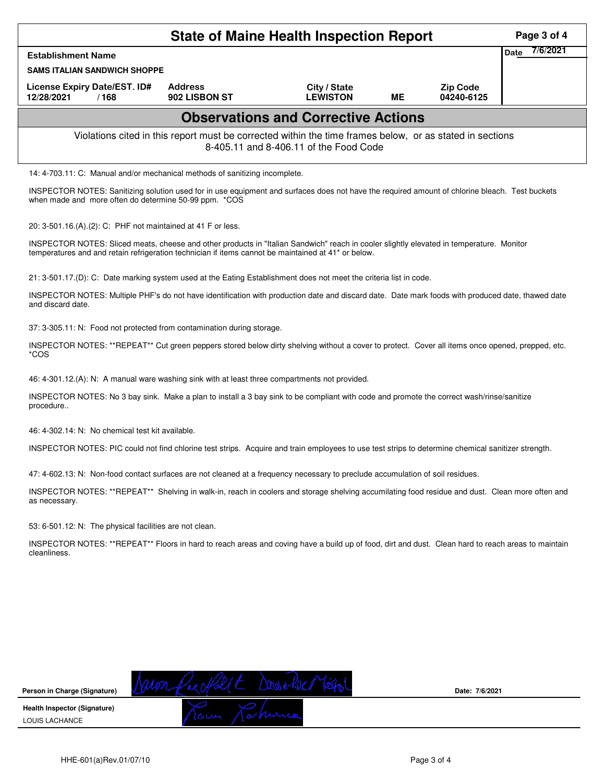|                                                                                                                                                                                                                                                 |                                 | <b>State of Maine Health Inspection Report</b> |           |                               | Page 3 of 4             |  |  |  |
|-------------------------------------------------------------------------------------------------------------------------------------------------------------------------------------------------------------------------------------------------|---------------------------------|------------------------------------------------|-----------|-------------------------------|-------------------------|--|--|--|
| <b>Establishment Name</b>                                                                                                                                                                                                                       |                                 |                                                |           |                               | 7/6/2021<br><b>Date</b> |  |  |  |
| <b>SAMS ITALIAN SANDWICH SHOPPE</b>                                                                                                                                                                                                             |                                 |                                                |           |                               |                         |  |  |  |
| License Expiry Date/EST. ID#<br>12/28/2021<br>/168                                                                                                                                                                                              | <b>Address</b><br>902 LISBON ST | City / State<br><b>LEWISTON</b>                | <b>ME</b> | <b>Zip Code</b><br>04240-6125 |                         |  |  |  |
|                                                                                                                                                                                                                                                 |                                 | <b>Observations and Corrective Actions</b>     |           |                               |                         |  |  |  |
| Violations cited in this report must be corrected within the time frames below, or as stated in sections<br>8-405.11 and 8-406.11 of the Food Code                                                                                              |                                 |                                                |           |                               |                         |  |  |  |
| 14: 4-703.11: C: Manual and/or mechanical methods of sanitizing incomplete.                                                                                                                                                                     |                                 |                                                |           |                               |                         |  |  |  |
| INSPECTOR NOTES: Sanitizing solution used for in use equipment and surfaces does not have the required amount of chlorine bleach. Test buckets<br>when made and more often do determine 50-99 ppm. *COS                                         |                                 |                                                |           |                               |                         |  |  |  |
| 20: 3-501.16.(A).(2): C: PHF not maintained at 41 F or less.                                                                                                                                                                                    |                                 |                                                |           |                               |                         |  |  |  |
| INSPECTOR NOTES: Sliced meats, cheese and other products in "Italian Sandwich" reach in cooler slightly elevated in temperature. Monitor<br>temperatures and and retain refrigeration technician if items cannot be maintained at 41* or below. |                                 |                                                |           |                               |                         |  |  |  |
| 21: 3-501.17.(D): C: Date marking system used at the Eating Establishment does not meet the criteria list in code.                                                                                                                              |                                 |                                                |           |                               |                         |  |  |  |
| INSPECTOR NOTES: Multiple PHF's do not have identification with production date and discard date. Date mark foods with produced date, thawed date<br>and discard date.                                                                          |                                 |                                                |           |                               |                         |  |  |  |
| 37: 3-305.11: N: Food not protected from contamination during storage.                                                                                                                                                                          |                                 |                                                |           |                               |                         |  |  |  |
| INSPECTOR NOTES: **REPEAT** Cut green peppers stored below dirty shelving without a cover to protect. Cover all items once opened, prepped, etc.<br>*COS                                                                                        |                                 |                                                |           |                               |                         |  |  |  |
| 46: 4-301.12.(A): N: A manual ware washing sink with at least three compartments not provided.                                                                                                                                                  |                                 |                                                |           |                               |                         |  |  |  |
| INSPECTOR NOTES: No 3 bay sink. Make a plan to install a 3 bay sink to be compliant with code and promote the correct wash/rinse/sanitize<br>procedure                                                                                          |                                 |                                                |           |                               |                         |  |  |  |
| 46: 4-302.14: N: No chemical test kit available.                                                                                                                                                                                                |                                 |                                                |           |                               |                         |  |  |  |
| INSPECTOR NOTES: PIC could not find chlorine test strips. Acquire and train employees to use test strips to determine chemical sanitizer strength.                                                                                              |                                 |                                                |           |                               |                         |  |  |  |
| 47: 4-602.13: N: Non-food contact surfaces are not cleaned at a frequency necessary to preclude accumulation of soil residues.                                                                                                                  |                                 |                                                |           |                               |                         |  |  |  |
| INSPECTOR NOTES: **REPEAT** Shelving in walk-in, reach in coolers and storage shelving accumilating food residue and dust. Clean more often and<br>as necessary.                                                                                |                                 |                                                |           |                               |                         |  |  |  |
| 53: 6-501.12: N: The physical facilities are not clean.                                                                                                                                                                                         |                                 |                                                |           |                               |                         |  |  |  |
| INSPECTOR NOTES: **REPEAT** Floors in hard to reach areas and coving have a build up of food, dirt and dust. Clean hard to reach areas to maintain<br>cleanliness.                                                                              |                                 |                                                |           |                               |                         |  |  |  |
|                                                                                                                                                                                                                                                 |                                 |                                                |           |                               |                         |  |  |  |
|                                                                                                                                                                                                                                                 |                                 |                                                |           |                               |                         |  |  |  |
|                                                                                                                                                                                                                                                 |                                 |                                                |           |                               |                         |  |  |  |
|                                                                                                                                                                                                                                                 |                                 |                                                |           |                               |                         |  |  |  |
|                                                                                                                                                                                                                                                 |                                 |                                                |           |                               |                         |  |  |  |